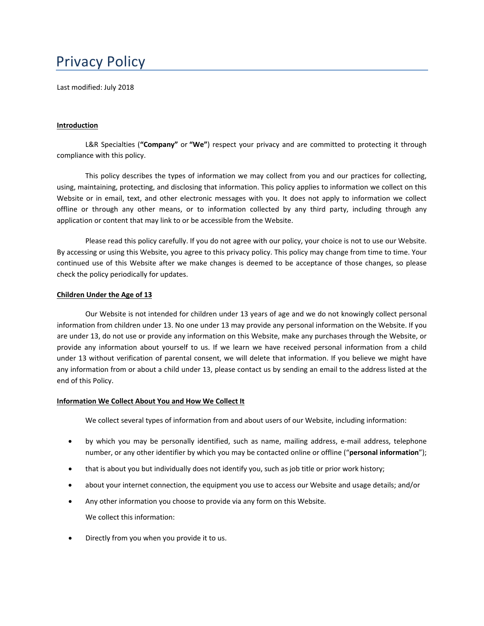# Privacy Policy

Last modified: July 2018

#### **Introduction**

L&R Specialties (**"Company"** or **"We"**) respect your privacy and are committed to protecting it through compliance with this policy.

This policy describes the types of information we may collect from you and our practices for collecting, using, maintaining, protecting, and disclosing that information. This policy applies to information we collect on this Website or in email, text, and other electronic messages with you. It does not apply to information we collect offline or through any other means, or to information collected by any third party, including through any application or content that may link to or be accessible from the Website.

Please read this policy carefully. If you do not agree with our policy, your choice is not to use our Website. By accessing or using this Website, you agree to this privacy policy. This policy may change from time to time. Your continued use of this Website after we make changes is deemed to be acceptance of those changes, so please check the policy periodically for updates.

#### **Children Under the Age of 13**

Our Website is not intended for children under 13 years of age and we do not knowingly collect personal information from children under 13. No one under 13 may provide any personal information on the Website. If you are under 13, do not use or provide any information on this Website, make any purchases through the Website, or provide any information about yourself to us. If we learn we have received personal information from a child under 13 without verification of parental consent, we will delete that information. If you believe we might have any information from or about a child under 13, please contact us by sending an email to the address listed at the end of this Policy.

## **Information We Collect About You and How We Collect It**

We collect several types of information from and about users of our Website, including information:

- by which you may be personally identified, such as name, mailing address, e-mail address, telephone number, or any other identifier by which you may be contacted online or offline ("**personal information**");
- that is about you but individually does not identify you, such as job title or prior work history;
- about your internet connection, the equipment you use to access our Website and usage details; and/or
- Any other information you choose to provide via any form on this Website. We collect this information:
- Directly from you when you provide it to us.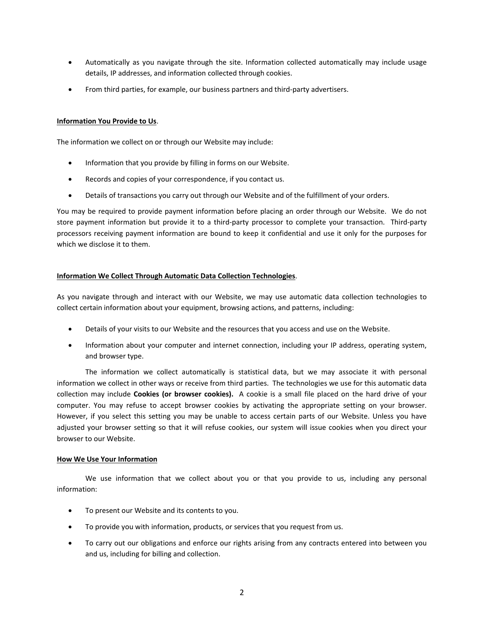- Automatically as you navigate through the site. Information collected automatically may include usage details, IP addresses, and information collected through cookies.
- From third parties, for example, our business partners and third‐party advertisers.

## **Information You Provide to Us**.

The information we collect on or through our Website may include:

- Information that you provide by filling in forms on our Website.
- Records and copies of your correspondence, if you contact us.
- Details of transactions you carry out through our Website and of the fulfillment of your orders.

You may be required to provide payment information before placing an order through our Website. We do not store payment information but provide it to a third-party processor to complete your transaction. Third-party processors receiving payment information are bound to keep it confidential and use it only for the purposes for which we disclose it to them.

# **Information We Collect Through Automatic Data Collection Technologies**.

As you navigate through and interact with our Website, we may use automatic data collection technologies to collect certain information about your equipment, browsing actions, and patterns, including:

- Details of your visits to our Website and the resources that you access and use on the Website.
- Information about your computer and internet connection, including your IP address, operating system, and browser type.

The information we collect automatically is statistical data, but we may associate it with personal information we collect in other ways or receive from third parties. The technologies we use for this automatic data collection may include **Cookies (or browser cookies).** A cookie is a small file placed on the hard drive of your computer. You may refuse to accept browser cookies by activating the appropriate setting on your browser. However, if you select this setting you may be unable to access certain parts of our Website. Unless you have adjusted your browser setting so that it will refuse cookies, our system will issue cookies when you direct your browser to our Website.

## **How We Use Your Information**

We use information that we collect about you or that you provide to us, including any personal information:

- To present our Website and its contents to you.
- To provide you with information, products, or services that you request from us.
- To carry out our obligations and enforce our rights arising from any contracts entered into between you and us, including for billing and collection.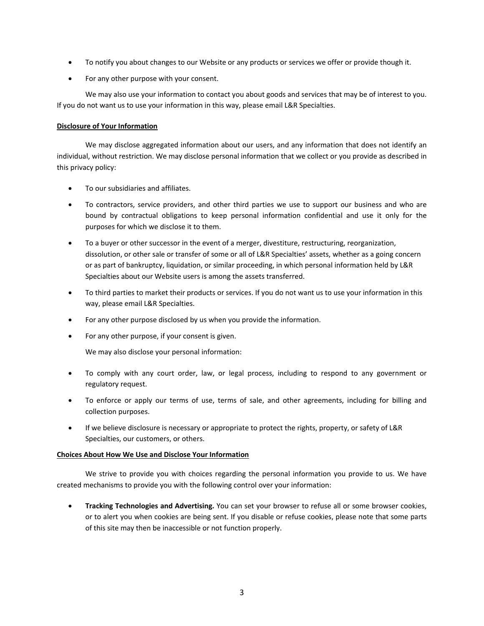- To notify you about changes to our Website or any products or services we offer or provide though it.
- For any other purpose with your consent.

We may also use your information to contact you about goods and services that may be of interest to you. If you do not want us to use your information in this way, please email L&R Specialties.

# **Disclosure of Your Information**

We may disclose aggregated information about our users, and any information that does not identify an individual, without restriction. We may disclose personal information that we collect or you provide as described in this privacy policy:

- To our subsidiaries and affiliates.
- To contractors, service providers, and other third parties we use to support our business and who are bound by contractual obligations to keep personal information confidential and use it only for the purposes for which we disclose it to them.
- To a buyer or other successor in the event of a merger, divestiture, restructuring, reorganization, dissolution, or other sale or transfer of some or all of L&R Specialties' assets, whether as a going concern or as part of bankruptcy, liquidation, or similar proceeding, in which personal information held by L&R Specialties about our Website users is among the assets transferred.
- To third parties to market their products or services. If you do not want us to use your information in this way, please email L&R Specialties.
- For any other purpose disclosed by us when you provide the information.
- For any other purpose, if your consent is given.

We may also disclose your personal information:

- To comply with any court order, law, or legal process, including to respond to any government or regulatory request.
- To enforce or apply our terms of use, terms of sale, and other agreements, including for billing and collection purposes.
- If we believe disclosure is necessary or appropriate to protect the rights, property, or safety of L&R Specialties, our customers, or others.

## **Choices About How We Use and Disclose Your Information**

We strive to provide you with choices regarding the personal information you provide to us. We have created mechanisms to provide you with the following control over your information:

 **Tracking Technologies and Advertising.** You can set your browser to refuse all or some browser cookies, or to alert you when cookies are being sent. If you disable or refuse cookies, please note that some parts of this site may then be inaccessible or not function properly.